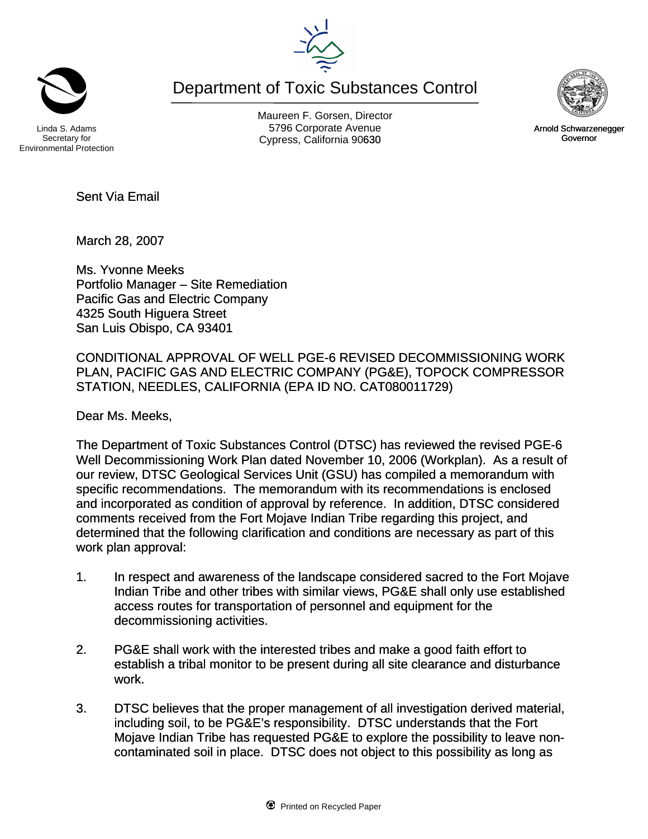Department of Toxic Substances Control



Secretary for Environmental Protection

Maureen F. Gorsen, Director Linda S. Adams **Example 20 Constructs** S796 Corporate Avenu Cypress, California 90630 **Canadian Cypress**, California 90630



March 28, 2007

Sent Via Email

Ms. Yvonne Meeks Portfolio Manager – Site Remediation Pacific Gas and Electric Company 4325 South Higuera Street San Luis Obispo, CA 93401

CONDITIONAL APPROVAL OF WELL PGE-6 REVISED DECOMMISSIONING WORK PLAN, PACIFIC GAS AND ELECTRIC COMPANY (PG&E), TOPOCK COMPRESSOR STATION, NEEDLES, CALIFORNIA (EPA ID NO. CAT080011729)

Dear Ms. Meeks,

The Department of Toxic Substances Control (DTSC) has reviewed the revised PGE-6 Well Decommissioning Work Plan dated November 10, 2006 (Workplan). As a result of our review, DTSC Geological Services Unit (GSU) has compiled a memorandum with specific recommendations. The memorandum with its recommendations is enclosed and incorporated as condition of approval by reference. In addition, DTSC considered comments received from the Fort Mojave Indian Tribe regarding this project, and determined that the following clarification and conditions are necessary as part of this work plan approval:

- 1. In respect and awareness of the landscape considered sacred to the Fort Mojave Indian Tribe and other tribes with similar views, PG&E shall only use established access routes for transportation of personnel and equipment for the decommissioning activities.
- 2. PG&E shall work with the interested tribes and make a good faith effort to establish a tribal monitor to be present during all site clearance and disturbance work.
- 3. DTSC believes that the proper management of all investigation derived material, including soil, to be PG&E's responsibility. DTSC understands that the Fort Mojave Indian Tribe has requested PG&E to explore the possibility to leave noncontaminated soil in place. DTSC does not object to this possibility as long as



Arnold Schwarzenegger Governor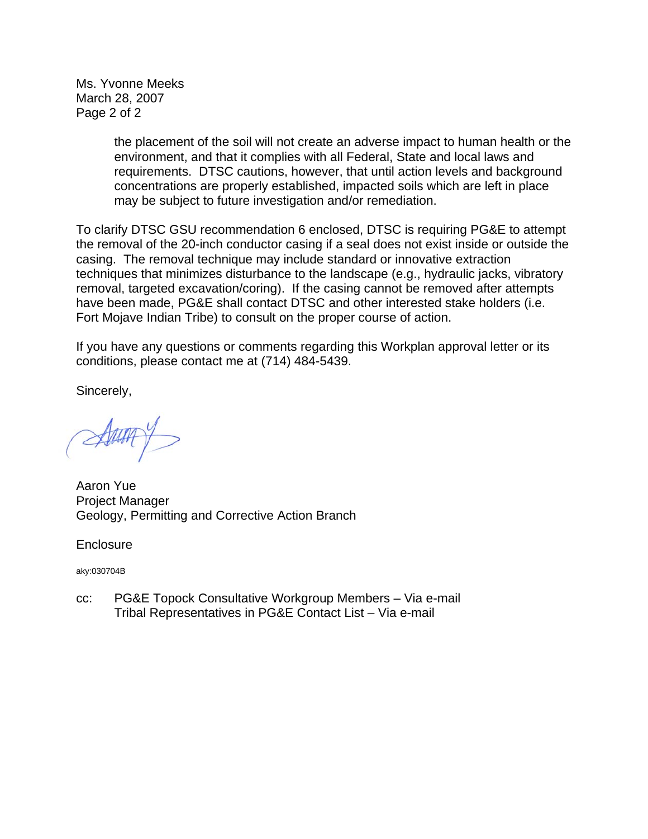Ms. Yvonne Meeks March 28, 2007 Page 2 of 2

> the placement of the soil will not create an adverse impact to human health or the environment, and that it complies with all Federal, State and local laws and requirements. DTSC cautions, however, that until action levels and background concentrations are properly established, impacted soils which are left in place may be subject to future investigation and/or remediation.

To clarify DTSC GSU recommendation 6 enclosed, DTSC is requiring PG&E to attempt the removal of the 20-inch conductor casing if a seal does not exist inside or outside the casing. The removal technique may include standard or innovative extraction techniques that minimizes disturbance to the landscape (e.g., hydraulic jacks, vibratory removal, targeted excavation/coring). If the casing cannot be removed after attempts have been made, PG&E shall contact DTSC and other interested stake holders (i.e. Fort Mojave Indian Tribe) to consult on the proper course of action.

If you have any questions or comments regarding this Workplan approval letter or its conditions, please contact me at (714) 484-5439.

Sincerely,

Aaron Yue Project Manager Geology, Permitting and Corrective Action Branch

**Enclosure** 

aky:030704B

cc: PG&E Topock Consultative Workgroup Members – Via e-mail Tribal Representatives in PG&E Contact List – Via e-mail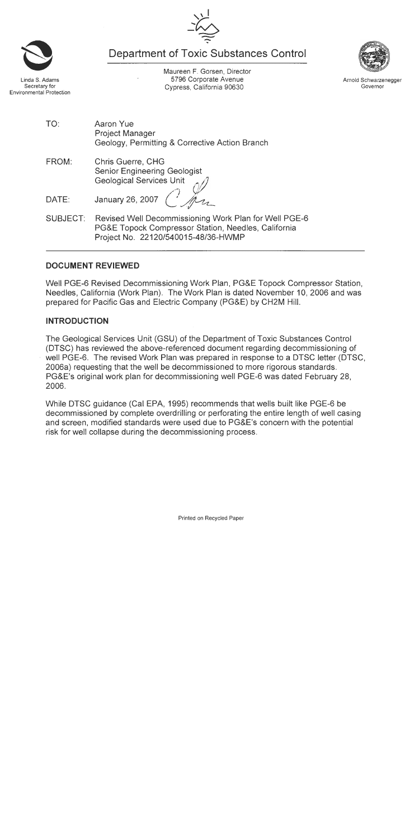**Department of Toxic Substances Control** 





Maureen F. Gorsen, Director 5796 Corporate Avenue Cypress, California 90630





Arnold Schwarzenegger Governor

- TO. Aaron Yue **Project Manager** Geology, Permitting & Corrective Action Branch
- FROM: **Chris Guerre, CHG Senior Engineering Geologist Geological Services Unit**

January 26, 2007 DATE:

Revised Well Decommissioning Work Plan for Well PGE-6 **SUBJECT:** PG&E Topock Compressor Station, Needles, California Project No. 22120/540015-48/36-HWMP

### **DOCUMENT REVIEWED**

Well PGE-6 Revised Decommissioning Work Plan, PG&E Topock Compressor Station, Needles, California (Work Plan). The Work Plan is dated November 10, 2006 and was prepared for Pacific Gas and Electric Company (PG&E) by CH2M Hill.

# **INTRODUCTION**

The Geological Services Unit (GSU) of the Department of Toxic Substances Control (DTSC) has reviewed the above-referenced document regarding decommissioning of well PGE-6. The revised Work Plan was prepared in response to a DTSC letter (DTSC, 2006a) requesting that the well be decommissioned to more rigorous standards. PG&E's original work plan for decommissioning well PGE-6 was dated February 28, 2006.

While DTSC guidance (Cal EPA, 1995) recommends that wells built like PGE-6 be decommissioned by complete overdrilling or perforating the entire length of well casing and screen, modified standards were used due to PG&E's concern with the potential risk for well collapse during the decommissioning process.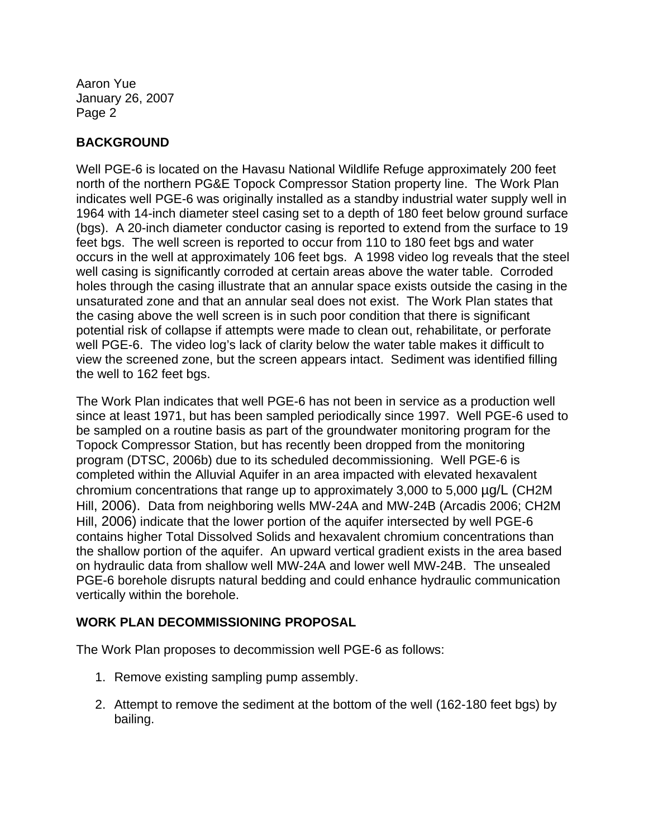## **BACKGROUND**

Well PGE-6 is located on the Havasu National Wildlife Refuge approximately 200 feet north of the northern PG&E Topock Compressor Station property line. The Work Plan well casing is significantly corroded at certain areas above the water table. Corroded well PGE-6. The video log's lack of clarity below the water table makes it difficult to indicates well PGE-6 was originally installed as a standby industrial water supply well in 1964 with 14-inch diameter steel casing set to a depth of 180 feet below ground surface (bgs). A 20-inch diameter conductor casing is reported to extend from the surface to 19 feet bgs. The well screen is reported to occur from 110 to 180 feet bgs and water occurs in the well at approximately 106 feet bgs. A 1998 video log reveals that the steel holes through the casing illustrate that an annular space exists outside the casing in the unsaturated zone and that an annular seal does not exist. The Work Plan states that the casing above the well screen is in such poor condition that there is significant potential risk of collapse if attempts were made to clean out, rehabilitate, or perforate view the screened zone, but the screen appears intact. Sediment was identified filling the well to 162 feet bgs.

The Work Plan indicates that well PGE-6 has not been in service as a production well since at least 1971, but has been sampled periodically since 1997. Well PGE-6 used to completed within the Alluvial Aquifer in an area impacted with elevated hexavalent chromium concentrations that range up to approximately 3,000 to 5,000 µg/L (CH2M Hill, 2006). Data from neighboring wells MW-24A and MW-24B (Arcadis 2006; CH2M the shallow portion of the aquifer. An upward vertical gradient exists in the area based be sampled on a routine basis as part of the groundwater monitoring program for the Topock Compressor Station, but has recently been dropped from the monitoring program (DTSC, 2006b) due to its scheduled decommissioning. Well PGE-6 is Hill, 2006) indicate that the lower portion of the aquifer intersected by well PGE-6 contains higher Total Dissolved Solids and hexavalent chromium concentrations than on hydraulic data from shallow well MW-24A and lower well MW-24B. The unsealed PGE-6 borehole disrupts natural bedding and could enhance hydraulic communication vertically within the borehole.

### **ING PROPOSAL WORK PLAN DECOMMISSION**

The Work Plan proposes to decommission well PGE-6 as follows:

- 1. Remove existing sampling pump assembly.
- 2. Attempt to remove the sediment at the bottom of the well (162-180 feet bgs) by bailing.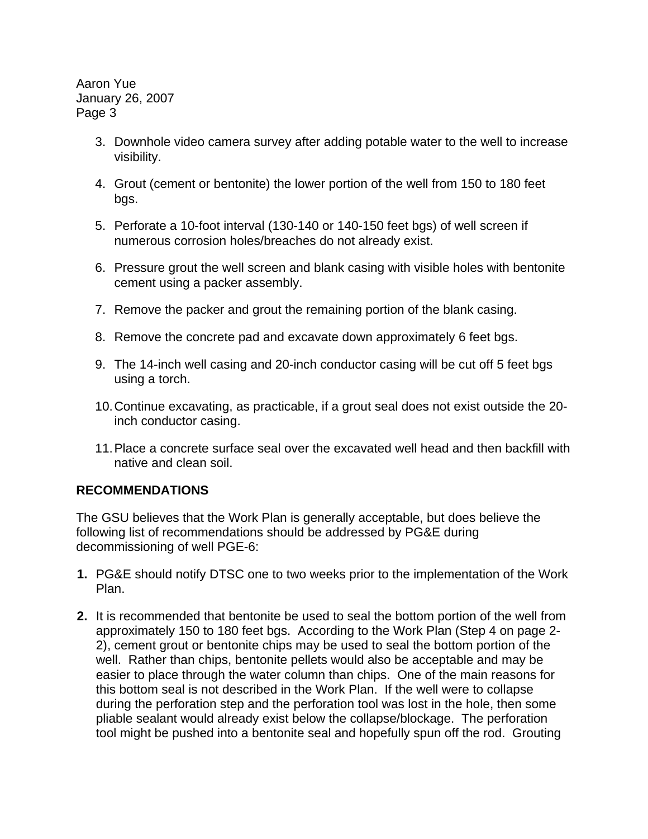- 3. Downhole video camera survey after adding potable water to the well to increase visibility.
- 4. Grout (cement or bentonite) the lower portion of the well from 150 to 180 feet bgs.
- 5. Perforate a 10-foot interval (130-140 or 140-150 feet bgs) of well screen if numerous corrosion holes/breaches do not already exist.
- 6. Pressure grout the well screen and blank casing with visible holes with bentonite cement using a packer assembly.
- 7. Remove the packer and grout the remaining portion of the blank casing.
- 8. Remove the concrete pad and excavate down approximately 6 feet bgs.
- 9. The 14-inch well casing and 20-inch conductor casing will be cut off 5 feet bgs using a torch.
- 10. Continue excavating, as practicable, if a grout seal does not exist outside the 20 inch conductor casing.
- 11. Place a concrete surface seal over the excavated well head and then backfill with native and clean soil.

#### **RECOMMENDATIONS**

The GSU believes that the Work Plan is generally acceptable, but does believe the following list of recommendations should be addressed by PG&E during decommissioning of well PGE-6:

- **1.** PG&E should notify DTSC one to two weeks prior to the implementation of the Work Plan.
- **2.** It is recommended that bentonite be used to seal the bottom portion of the well from approximately 150 to 180 feet bgs. According to the Work Plan (Step 4 on page 2- 2), cement grout or bentonite chips may be used to seal the bottom portion of the well. Rather than chips, bentonite pellets would also be acceptable and may be easier to place through the water column than chips. One of the main reasons for this bottom seal is not described in the Work Plan. If the well were to collapse during the perforation step and the perforation tool was lost in the hole, then some pliable sealant would already exist below the collapse/blockage. The perforation tool might be pushed into a bentonite seal and hopefully spun off the rod. Grouting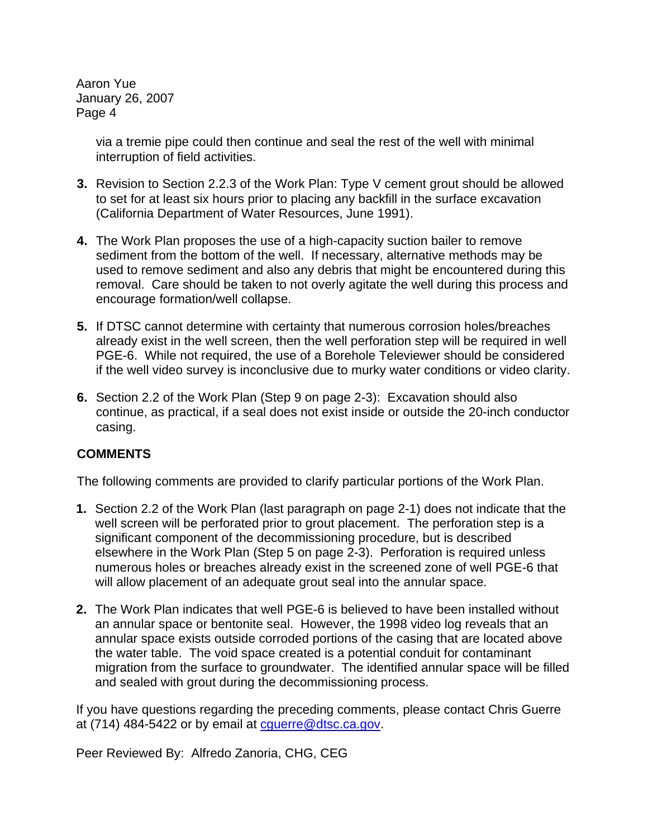> via a tremie pipe could then continue and seal the rest of the well with minimal interruption of field activities.

- **3.** Revision to Section 2.2.3 of the Work Plan: Type V cement grout should be allowed to set for at least six hours prior to placing any backfill in the surface excavation (California Department of Water Resources, June 1991).
- **4.** The Work Plan proposes the use of a high-capacity suction bailer to remove sediment from the bottom of the well. If necessary, alternative methods may be used to remove sediment and also any debris that might be encountered during this removal. Care should be taken to not overly agitate the well during this process and encourage formation/well collapse.
- **5.** If DTSC cannot determine with certainty that numerous corrosion holes/breaches already exist in the well screen, then the well perforation step will be required in well PGE-6. While not required, the use of a Borehole Televiewer should be considered if the well video survey is inconclusive due to murky water conditions or video clarity.
- **6.** Section 2.2 of the Work Plan (Step 9 on page 2-3): Excavation should also continue, as practical, if a seal does not exist inside or outside the 20-inch conductor casing.

### **COMMENTS**

The following comments are provided to clarify particular portions of the Work Plan.

- **1.** Section 2.2 of the Work Plan (last paragraph on page 2-1) does not indicate that the well screen will be perforated prior to grout placement. The perforation step is a significant component of the decommissioning procedure, but is described elsewhere in the Work Plan (Step 5 on page 2-3). Perforation is required unless numerous holes or breaches already exist in the screened zone of well PGE-6 that will allow placement of an adequate grout seal into the annular space.
- **2.** The Work Plan indicates that well PGE-6 is believed to have been installed without an annular space or bentonite seal. However, the 1998 video log reveals that an annular space exists outside corroded portions of the casing that are located above the water table. The void space created is a potential conduit for contaminant migration from the surface to groundwater. The identified annular space will be filled and sealed with grout during the decommissioning process.

If you have questions regarding the preceding comments, please contact Chris Guerre at  $(714)$  484-5422 or by email at cquerre @dtsc.ca.gov.

Peer Reviewed By: Alfredo Zanoria, CHG, CEG